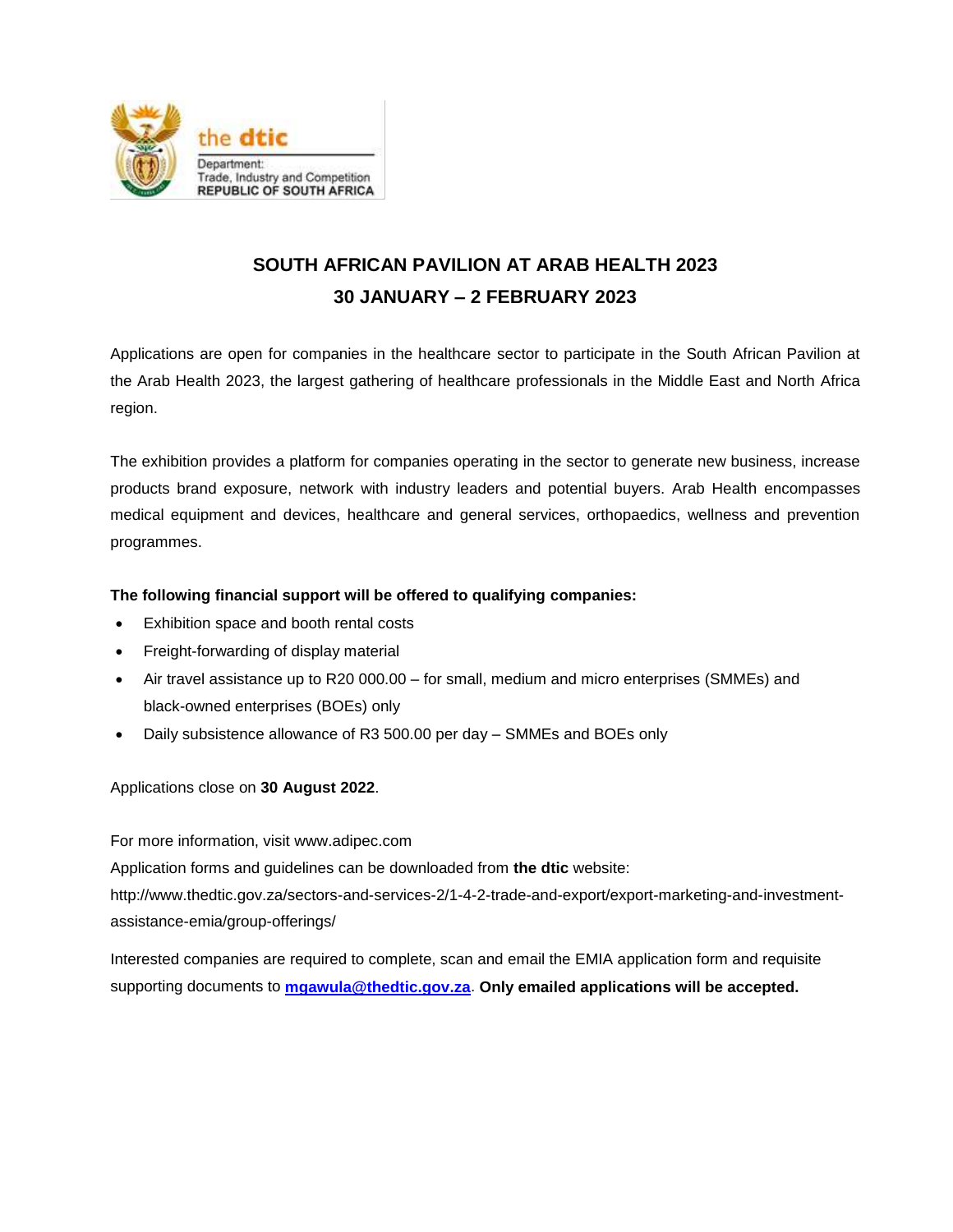

## **SOUTH AFRICAN PAVILION AT ARAB HEALTH 2023 30 JANUARY – 2 FEBRUARY 2023**

Applications are open for companies in the healthcare sector to participate in the South African Pavilion at the Arab Health 2023, the largest gathering of healthcare professionals in the Middle East and North Africa region.

The exhibition provides a platform for companies operating in the sector to generate new business, increase products brand exposure, network with industry leaders and potential buyers. Arab Health encompasses medical equipment and devices, healthcare and general services, orthopaedics, wellness and prevention programmes.

## **The following financial support will be offered to qualifying companies:**

- Exhibition space and booth rental costs
- Freight-forwarding of display material
- Air travel assistance up to R20 000.00 for small, medium and micro enterprises (SMMEs) and black-owned enterprises (BOEs) only
- Daily subsistence allowance of R3 500.00 per day SMMEs and BOEs only

Applications close on **30 August 2022**.

For more information, visit [www.adipec.com](http://www.adipec.com/)

Application forms and guidelines can be downloaded from **the dtic** website:

[http://www.thedtic.gov.za/sectors-and-services-2/1-4-2-trade-and-export/export-marketing-and-investment](http://www.thedtic.gov.za/sectors-and-services-2/1-4-2-trade-and-export/export-marketing-and-investment-assistance-emia/group-offerings/)[assistance-emia/group-offerings/](http://www.thedtic.gov.za/sectors-and-services-2/1-4-2-trade-and-export/export-marketing-and-investment-assistance-emia/group-offerings/)

Interested companies are required to complete, scan and email the EMIA application form and requisite supporting documents to **[mgawula@thedtic.gov.za](mailto:mgawula@thedtic.gov.za)**. **Only emailed applications will be accepted.**